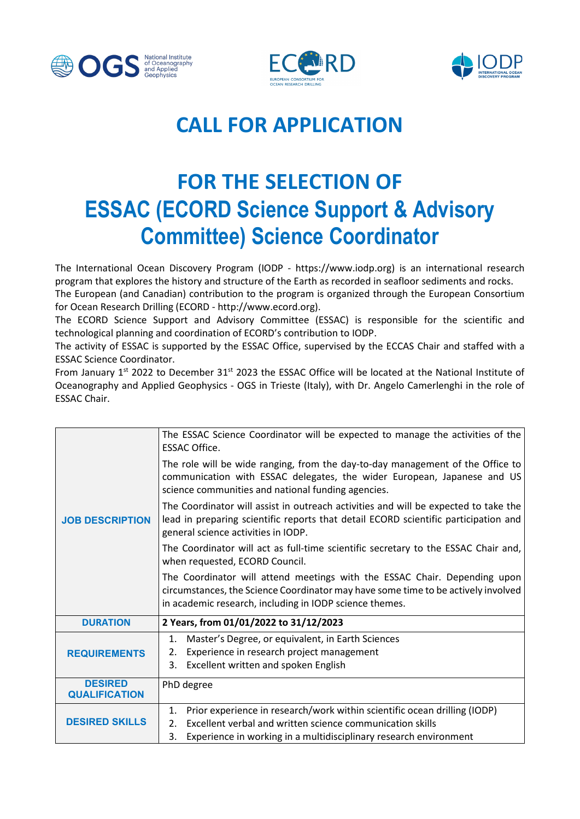





## **CALL FOR APPLICATION**

## **FOR THE SELECTION OF ESSAC (ECORD Science Support & Advisory Committee) Science Coordinator**

The International Ocean Discovery Program (IODP - https://www.iodp.org) is an international research program that explores the history and structure of the Earth as recorded in seafloor sediments and rocks.

The European (and Canadian) contribution to the program is organized through the European Consortium for Ocean Research Drilling (ECORD - http://www.ecord.org).

The ECORD Science Support and Advisory Committee (ESSAC) is responsible for the scientific and technological planning and coordination of ECORD's contribution to IODP.

The activity of ESSAC is supported by the ESSAC Office, supervised by the ECCAS Chair and staffed with a ESSAC Science Coordinator.

From January 1st 2022 to December 31st 2023 the ESSAC Office will be located at the National Institute of Oceanography and Applied Geophysics - OGS in Trieste (Italy), with Dr. Angelo Camerlenghi in the role of ESSAC Chair.

| <b>JOB DESCRIPTION</b>                 | The ESSAC Science Coordinator will be expected to manage the activities of the<br><b>ESSAC Office.</b>                                                                                                                    |
|----------------------------------------|---------------------------------------------------------------------------------------------------------------------------------------------------------------------------------------------------------------------------|
|                                        | The role will be wide ranging, from the day-to-day management of the Office to<br>communication with ESSAC delegates, the wider European, Japanese and US<br>science communities and national funding agencies.           |
|                                        | The Coordinator will assist in outreach activities and will be expected to take the<br>lead in preparing scientific reports that detail ECORD scientific participation and<br>general science activities in IODP.         |
|                                        | The Coordinator will act as full-time scientific secretary to the ESSAC Chair and,<br>when requested, ECORD Council.                                                                                                      |
|                                        | The Coordinator will attend meetings with the ESSAC Chair. Depending upon<br>circumstances, the Science Coordinator may have some time to be actively involved<br>in academic research, including in IODP science themes. |
| <b>DURATION</b>                        | 2 Years, from 01/01/2022 to 31/12/2023                                                                                                                                                                                    |
| <b>REQUIREMENTS</b>                    | Master's Degree, or equivalent, in Earth Sciences<br>1.<br>Experience in research project management<br>2.<br>Excellent written and spoken English<br>3.                                                                  |
| <b>DESIRED</b><br><b>QUALIFICATION</b> | PhD degree                                                                                                                                                                                                                |
| <b>DESIRED SKILLS</b>                  | Prior experience in research/work within scientific ocean drilling (IODP)<br>1.<br>Excellent verbal and written science communication skills<br>2.                                                                        |
|                                        | 3.<br>Experience in working in a multidisciplinary research environment                                                                                                                                                   |